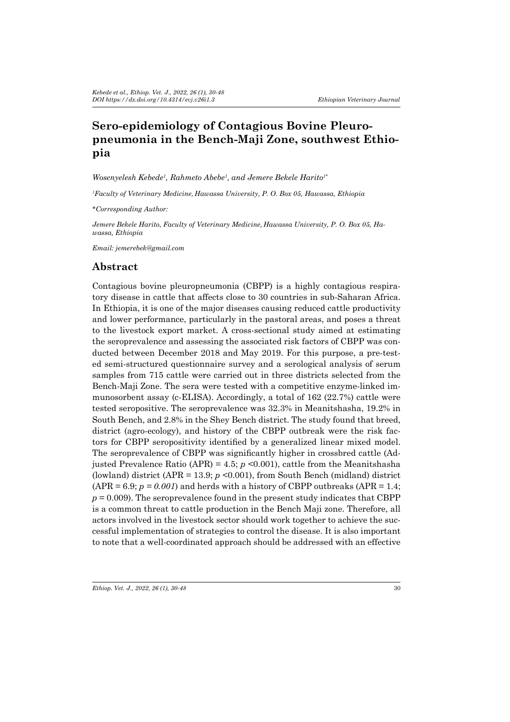# **Sero-epidemiology of Contagious Bovine Pleuropneumonia in the Bench-Maji Zone, southwest Ethiopia**

*Wosenyelesh Kebede<sup>1</sup> , Rahmeto Abebe1 , and Jemere Bekele Harito1\**

*1 Faculty of Veterinary Medicine, Hawassa University, P. O. Box 05, Hawassa, Ethiopia*

*\*Corresponding Author:*

*Jemere Bekele Harito, Faculty of Veterinary Medicine, Hawassa University, P. O. Box 05, Hawassa, Ethiopia*

*Email: jemerebek@gmail.com*

### **Abstract**

Contagious bovine pleuropneumonia (CBPP) is a highly contagious respiratory disease in cattle that affects close to 30 countries in sub-Saharan Africa. In Ethiopia, it is one of the major diseases causing reduced cattle productivity and lower performance, particularly in the pastoral areas, and poses a threat to the livestock export market. A cross-sectional study aimed at estimating the seroprevalence and assessing the associated risk factors of CBPP was conducted between December 2018 and May 2019. For this purpose, a pre-tested semi-structured questionnaire survey and a serological analysis of serum samples from 715 cattle were carried out in three districts selected from the Bench-Maji Zone. The sera were tested with a competitive enzyme-linked immunosorbent assay (c-ELISA). Accordingly, a total of 162 (22.7%) cattle were tested seropositive. The seroprevalence was 32.3% in Meanitshasha, 19.2% in South Bench, and 2.8% in the Shey Bench district. The study found that breed, district (agro-ecology), and history of the CBPP outbreak were the risk factors for CBPP seropositivity identified by a generalized linear mixed model. The seroprevalence of CBPP was significantly higher in crossbred cattle (Adjusted Prevalence Ratio (APR) = 4.5;  $p \le 0.001$ ), cattle from the Meanitshasha (lowland) district  $(APR = 13.9; p \le 0.001)$ , from South Bench (midland) district  $(APR = 6.9; p = 0.001)$  and herds with a history of CBPP outbreaks  $APR = 1.4$ ;  $p = 0.009$ . The seroprevalence found in the present study indicates that CBPP is a common threat to cattle production in the Bench Maji zone. Therefore, all actors involved in the livestock sector should work together to achieve the successful implementation of strategies to control the disease. It is also important to note that a well-coordinated approach should be addressed with an effective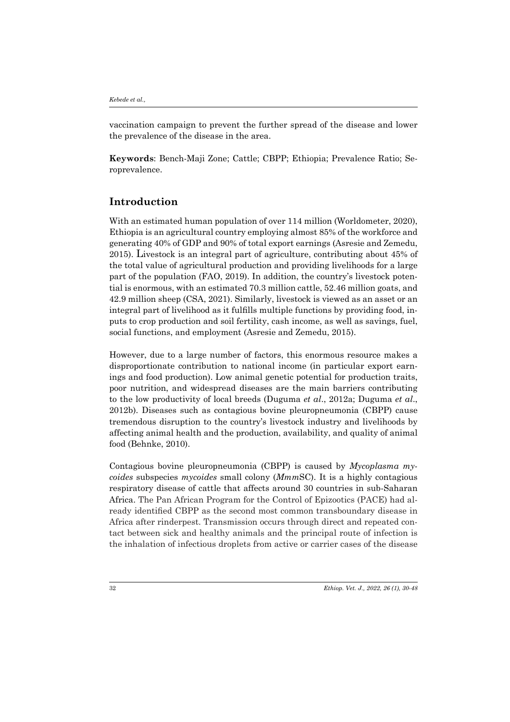vaccination campaign to prevent the further spread of the disease and lower the prevalence of the disease in the area.

**Keywords**: Bench-Maji Zone; Cattle; CBPP; Ethiopia; Prevalence Ratio; Seroprevalence.

# **Introduction**

With an estimated human population of over 114 million (Worldometer, 2020), Ethiopia is an agricultural country employing almost 85% of the workforce and generating 40% of GDP and 90% of total export earnings (Asresie and Zemedu, 2015). Livestock is an integral part of agriculture, contributing about 45% of the total value of agricultural production and providing livelihoods for a large part of the population (FAO, 2019). In addition, the country's livestock potential is enormous, with an estimated 70.3 million cattle, 52.46 million goats, and 42.9 million sheep (CSA, 2021). Similarly, livestock is viewed as an asset or an integral part of livelihood as it fulfills multiple functions by providing food, inputs to crop production and soil fertility, cash income, as well as savings, fuel, social functions, and employment (Asresie and Zemedu, 2015).

However, due to a large number of factors, this enormous resource makes a disproportionate contribution to national income (in particular export earnings and food production). Low animal genetic potential for production traits, poor nutrition, and widespread diseases are the main barriers contributing to the low productivity of local breeds (Duguma *et al*., 2012a; Duguma *et al*., 2012b). Diseases such as contagious bovine pleuropneumonia (CBPP) cause tremendous disruption to the country's livestock industry and livelihoods by affecting animal health and the production, availability, and quality of animal food (Behnke, 2010).

Contagious bovine pleuropneumonia (CBPP) is caused by *Mycoplasma mycoides* subspecies *mycoides* small colony (*Mmm*SC). It is a highly contagious respiratory disease of cattle that affects around 30 countries in sub-Saharan Africa. The Pan African Program for the Control of Epizootics (PACE) had already identified CBPP as the second most common transboundary disease in Africa after rinderpest. Transmission occurs through direct and repeated contact between sick and healthy animals and the principal route of infection is the inhalation of infectious droplets from active or carrier cases of the disease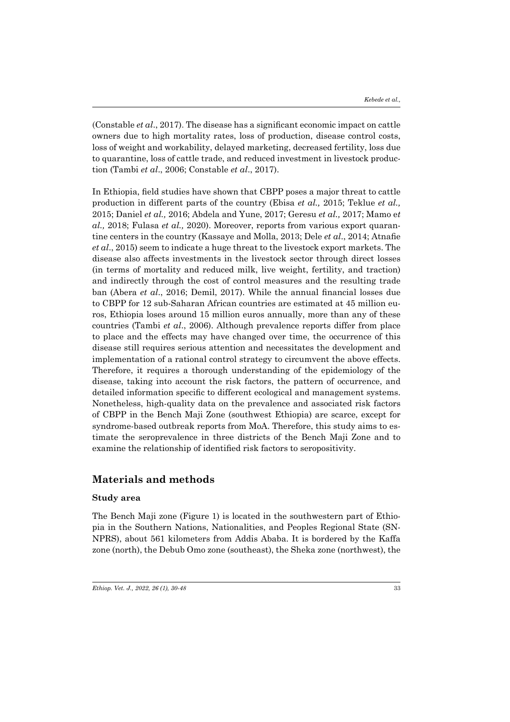(Constable *et al*., 2017). The disease has a significant economic impact on cattle owners due to high mortality rates, loss of production, disease control costs, loss of weight and workability, delayed marketing, decreased fertility, loss due to quarantine, loss of cattle trade, and reduced investment in livestock production (Tambi *et al*., 2006; Constable *et al*., 2017).

In Ethiopia, field studies have shown that CBPP poses a major threat to cattle production in different parts of the country (Ebisa *et al.,* 2015; Teklue *et al.,*  2015; Daniel *et al.,* 2016; Abdela and Yune, 2017; Geresu *et al.,* 2017; Mamo e*t al.,* 2018; Fulasa *et al.,* 2020). Moreover, reports from various export quarantine centers in the country (Kassaye and Molla, 2013; Dele *et al*., 2014; Atnafie *et al*., 2015) seem to indicate a huge threat to the livestock export markets. The disease also affects investments in the livestock sector through direct losses (in terms of mortality and reduced milk, live weight, fertility, and traction) and indirectly through the cost of control measures and the resulting trade ban (Abera *et al*., 2016; Demil, 2017). While the annual financial losses due to CBPP for 12 sub-Saharan African countries are estimated at 45 million euros, Ethiopia loses around 15 million euros annually, more than any of these countries (Tambi *et al*., 2006). Although prevalence reports differ from place to place and the effects may have changed over time, the occurrence of this disease still requires serious attention and necessitates the development and implementation of a rational control strategy to circumvent the above effects. Therefore, it requires a thorough understanding of the epidemiology of the disease, taking into account the risk factors, the pattern of occurrence, and detailed information specific to different ecological and management systems. Nonetheless, high-quality data on the prevalence and associated risk factors of CBPP in the Bench Maji Zone (southwest Ethiopia) are scarce, except for syndrome-based outbreak reports from MoA. Therefore, this study aims to estimate the seroprevalence in three districts of the Bench Maji Zone and to examine the relationship of identified risk factors to seropositivity.

### **Materials and methods**

#### **Study area**

The Bench Maji zone (Figure 1) is located in the southwestern part of Ethiopia in the Southern Nations, Nationalities, and Peoples Regional State (SN-NPRS), about 561 kilometers from Addis Ababa. It is bordered by the Kaffa zone (north), the Debub Omo zone (southeast), the Sheka zone (northwest), the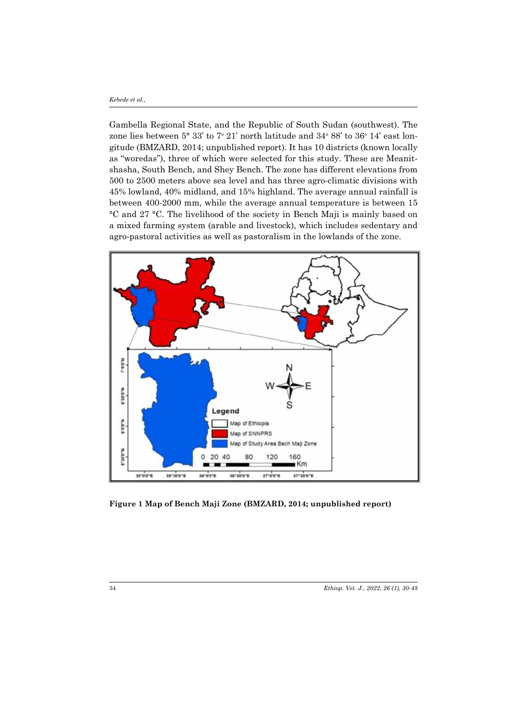Gambella Regional State, and the Republic of South Sudan (southwest). The zone lies between  $5^{\circ}$  33' to  $7^{\circ}$  21' north latitude and 34 $^{\circ}$  88' to 36 $^{\circ}$  14' east longitude (BMZARD, 2014; unpublished report). It has 10 districts (known locally as "woredas"), three of which were selected for this study. These are Meanitshasha, South Bench, and Shey Bench. The zone has different elevations from 500 to 2500 meters above sea level and has three agro-climatic divisions with 45% lowland, 40% midland, and 15% highland. The average annual rainfall is between 400-2000 mm, while the average annual temperature is between 15 °C and 27 °C. The livelihood of the society in Bench Maji is mainly based on a mixed farming system (arable and livestock), which includes sedentary and agro-pastoral activities as well as pastoralism in the lowlands of the zone.



**Figure 1 Map of Bench Maji Zone (BMZARD, 2014; unpublished report)**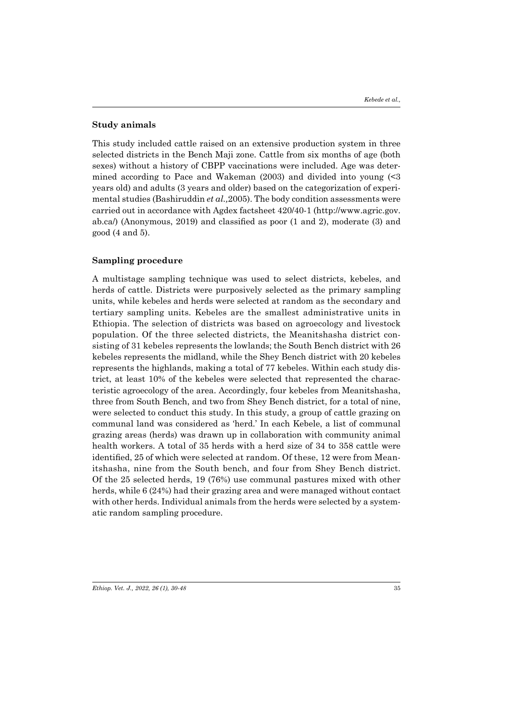#### **Study animals**

This study included cattle raised on an extensive production system in three selected districts in the Bench Maji zone. Cattle from six months of age (both sexes) without a history of CBPP vaccinations were included. Age was determined according to Pace and Wakeman (2003) and divided into young (<3 years old) and adults (3 years and older) based on the categorization of experimental studies (Bashiruddin *et al.,*2005). The body condition assessments were carried out in accordance with Agdex factsheet 420/40-1 (http://www.agric.gov. ab.ca/) (Anonymous, 2019) and classified as poor (1 and 2), moderate (3) and good (4 and 5).

#### **Sampling procedure**

A multistage sampling technique was used to select districts, kebeles, and herds of cattle. Districts were purposively selected as the primary sampling units, while kebeles and herds were selected at random as the secondary and tertiary sampling units. Kebeles are the smallest administrative units in Ethiopia. The selection of districts was based on agroecology and livestock population. Of the three selected districts, the Meanitshasha district consisting of 31 kebeles represents the lowlands; the South Bench district with 26 kebeles represents the midland, while the Shey Bench district with 20 kebeles represents the highlands, making a total of 77 kebeles. Within each study district, at least 10% of the kebeles were selected that represented the characteristic agroecology of the area. Accordingly, four kebeles from Meanitshasha, three from South Bench, and two from Shey Bench district, for a total of nine, were selected to conduct this study. In this study, a group of cattle grazing on communal land was considered as 'herd.' In each Kebele, a list of communal grazing areas (herds) was drawn up in collaboration with community animal health workers. A total of 35 herds with a herd size of 34 to 358 cattle were identified, 25 of which were selected at random. Of these, 12 were from Meanitshasha, nine from the South bench, and four from Shey Bench district. Of the 25 selected herds, 19 (76%) use communal pastures mixed with other herds, while 6 (24%) had their grazing area and were managed without contact with other herds. Individual animals from the herds were selected by a systematic random sampling procedure.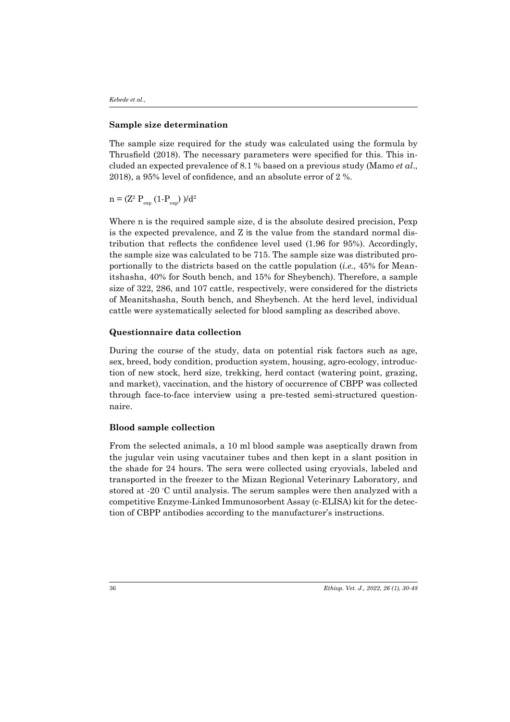#### **Sample size determination**

The sample size required for the study was calculated using the formula by Thrusfield (2018). The necessary parameters were specified for this. This included an expected prevalence of 8.1 % based on a previous study (Mamo *et al*., 2018), a 95% level of confidence, and an absolute error of 2 %.

 $\rm n = (\rm Z^2~P_{exp}~(1-P_{exp}~)/d^2$ 

Where n is the required sample size, d is the absolute desired precision, Pexp is the expected prevalence, and Z is the value from the standard normal distribution that reflects the confidence level used (1.96 for 95%). Accordingly, the sample size was calculated to be 715. The sample size was distributed proportionally to the districts based on the cattle population (*i.e.,* 45% for Meanitshasha, 40% for South bench, and 15% for Sheybench). Therefore, a sample size of 322, 286, and 107 cattle, respectively, were considered for the districts of Meanitshasha, South bench, and Sheybench. At the herd level, individual cattle were systematically selected for blood sampling as described above.

#### **Questionnaire data collection**

During the course of the study, data on potential risk factors such as age, sex, breed, body condition, production system, housing, agro-ecology, introduction of new stock, herd size, trekking, herd contact (watering point, grazing, and market), vaccination, and the history of occurrence of CBPP was collected through face-to-face interview using a pre-tested semi-structured questionnaire.

#### **Blood sample collection**

From the selected animals, a 10 ml blood sample was aseptically drawn from the jugular vein using vacutainer tubes and then kept in a slant position in the shade for 24 hours. The sera were collected using cryovials, labeled and transported in the freezer to the Mizan Regional Veterinary Laboratory, and stored at -20 ℃ until analysis. The serum samples were then analyzed with a competitive Enzyme-Linked Immunosorbent Assay (c-ELISA) kit for the detection of CBPP antibodies according to the manufacturer's instructions.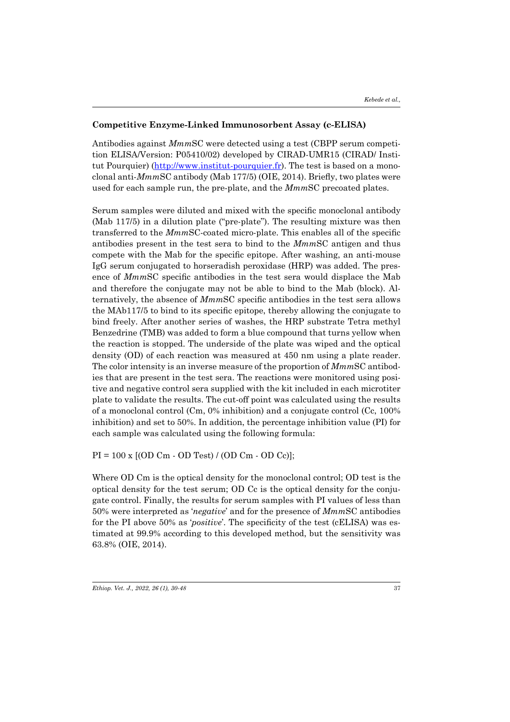#### **Competitive Enzyme-Linked Immunosorbent Assay (c-ELISA)**

Antibodies against *Mmm*SC were detected using a test (CBPP serum competition ELISA/Version: P05410/02) developed by CIRAD-UMR15 (CIRAD/ Institut Pourquier) (http://www.institut-pourquier.fr). The test is based on a monoclonal anti-*Mmm*SC antibody (Mab 177/5) (OIE, 2014). Briefly, two plates were used for each sample run, the pre-plate, and the *Mmm*SC precoated plates.

Serum samples were diluted and mixed with the specific monoclonal antibody (Mab 117/5) in a dilution plate ("pre-plate"). The resulting mixture was then transferred to the *Mmm*SC-coated micro-plate. This enables all of the specific antibodies present in the test sera to bind to the *Mmm*SC antigen and thus compete with the Mab for the specific epitope. After washing, an anti-mouse IgG serum conjugated to horseradish peroxidase (HRP) was added. The presence of *Mmm*SC specific antibodies in the test sera would displace the Mab and therefore the conjugate may not be able to bind to the Mab (block). Alternatively, the absence of *Mmm*SC specific antibodies in the test sera allows the MAb117/5 to bind to its specific epitope, thereby allowing the conjugate to bind freely. After another series of washes, the HRP substrate Tetra methyl Benzedrine (TMB) was added to form a blue compound that turns yellow when the reaction is stopped. The underside of the plate was wiped and the optical density (OD) of each reaction was measured at 450 nm using a plate reader. The color intensity is an inverse measure of the proportion of *Mmm*SC antibodies that are present in the test sera. The reactions were monitored using positive and negative control sera supplied with the kit included in each microtiter plate to validate the results. The cut-off point was calculated using the results of a monoclonal control (Cm, 0% inhibition) and a conjugate control (Cc, 100% inhibition) and set to 50%. In addition, the percentage inhibition value (PI) for each sample was calculated using the following formula:

 $PI = 100 \text{ x } [(OD \text{ Cm} \cdot \text{OD Test}) / (\text{OD } \text{Cm} \cdot \text{OD } \text{Cc})]$ ;

Where OD Cm is the optical density for the monoclonal control; OD test is the optical density for the test serum; OD Cc is the optical density for the conjugate control. Finally, the results for serum samples with PI values of less than 50% were interpreted as '*negative*' and for the presence of *Mmm*SC antibodies for the PI above 50% as '*positive*'. The specificity of the test (cELISA) was estimated at 99.9% according to this developed method, but the sensitivity was 63.8% (OIE, 2014).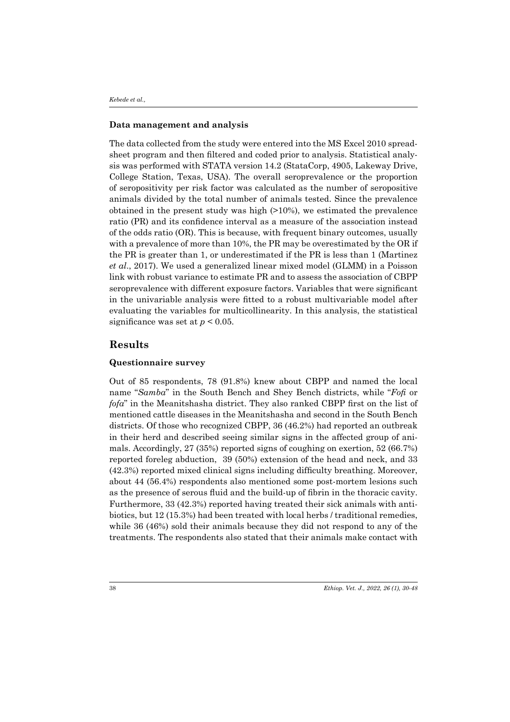#### **Data management and analysis**

The data collected from the study were entered into the MS Excel 2010 spreadsheet program and then filtered and coded prior to analysis. Statistical analysis was performed with STATA version 14.2 (StataCorp, 4905, Lakeway Drive, College Station, Texas, USA). The overall seroprevalence or the proportion of seropositivity per risk factor was calculated as the number of seropositive animals divided by the total number of animals tested. Since the prevalence obtained in the present study was high (>10%), we estimated the prevalence ratio (PR) and its confidence interval as a measure of the association instead of the odds ratio (OR). This is because, with frequent binary outcomes, usually with a prevalence of more than 10%, the PR may be overestimated by the OR if the PR is greater than 1, or underestimated if the PR is less than 1 (Martinez *et al*., 2017). We used a generalized linear mixed model (GLMM) in a Poisson link with robust variance to estimate PR and to assess the association of CBPP seroprevalence with different exposure factors. Variables that were significant in the univariable analysis were fitted to a robust multivariable model after evaluating the variables for multicollinearity. In this analysis, the statistical significance was set at  $p < 0.05$ .

# **Results**

#### **Questionnaire survey**

Out of 85 respondents, 78 (91.8%) knew about CBPP and named the local name "*Samba*" in the South Bench and Shey Bench districts, while "*Fofi* or *fofa*" in the Meanitshasha district. They also ranked CBPP first on the list of mentioned cattle diseases in the Meanitshasha and second in the South Bench districts. Of those who recognized CBPP, 36 (46.2%) had reported an outbreak in their herd and described seeing similar signs in the affected group of animals. Accordingly, 27 (35%) reported signs of coughing on exertion, 52 (66.7%) reported foreleg abduction, 39 (50%) extension of the head and neck, and 33 (42.3%) reported mixed clinical signs including difficulty breathing. Moreover, about 44 (56.4%) respondents also mentioned some post-mortem lesions such as the presence of serous fluid and the build-up of fibrin in the thoracic cavity. Furthermore, 33 (42.3%) reported having treated their sick animals with antibiotics, but 12 (15.3%) had been treated with local herbs / traditional remedies, while 36 (46%) sold their animals because they did not respond to any of the treatments. The respondents also stated that their animals make contact with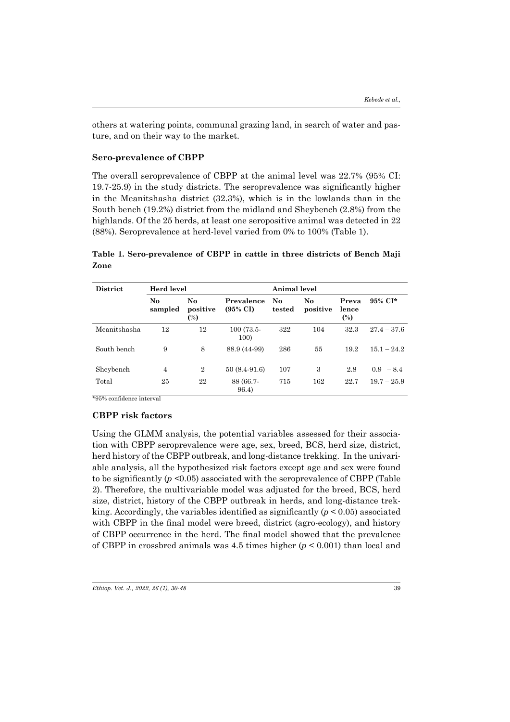others at watering points, communal grazing land, in search of water and pasture, and on their way to the market.

#### **Sero-prevalence of CBPP**

The overall seroprevalence of CBPP at the animal level was 22.7% (95% CI: 19.7-25.9) in the study districts. The seroprevalence was significantly higher in the Meanitshasha district (32.3%), which is in the lowlands than in the South bench (19.2%) district from the midland and Sheybench (2.8%) from the highlands. Of the 25 herds, at least one seropositive animal was detected in 22 (88%). Seroprevalence at herd-level varied from 0% to 100% (Table 1).

### **Table 1. Sero-prevalence of CBPP in cattle in three districts of Bench Maji Zone**

| <b>District</b> | Herd level<br>Animal level |                          |                                   |              |                                    |                       |               |
|-----------------|----------------------------|--------------------------|-----------------------------------|--------------|------------------------------------|-----------------------|---------------|
|                 | N <sub>o</sub><br>sampled  | No<br>positive<br>$(\%)$ | Prevalence<br>$(95\% \text{ CI})$ | No<br>tested | $\mathbf{N}\mathbf{o}$<br>positive | Preva<br>lence<br>(%) | 95% CI*       |
| Meanitshasha    | 12                         | 12                       | $100(73.5 -$<br>100)              | 322          | 104                                | 32.3                  | $27.4 - 37.6$ |
| South bench     | 9                          | 8                        | 88.9 (44-99)                      | 286          | 55                                 | 19.2                  | $15.1 - 24.2$ |
| Sheybench       | $\overline{4}$             | $\overline{2}$           | $50(8.4-91.6)$                    | 107          | 3                                  | 2.8                   | $0.9 - 8.4$   |
| Total           | 25                         | 22                       | 88 (66.7-<br>96.4)                | 715          | 162                                | 22.7                  | $19.7 - 25.9$ |

\*95% confidence interval

#### **CBPP risk factors**

Using the GLMM analysis, the potential variables assessed for their association with CBPP seroprevalence were age, sex, breed, BCS, herd size, district, herd history of the CBPP outbreak, and long-distance trekking. In the univariable analysis, all the hypothesized risk factors except age and sex were found to be significantly (*p <*0.05) associated with the seroprevalence of CBPP (Table 2). Therefore, the multivariable model was adjusted for the breed, BCS, herd size, district, history of the CBPP outbreak in herds, and long-distance trekking. Accordingly, the variables identified as significantly  $(p < 0.05)$  associated with CBPP in the final model were breed, district (agro-ecology), and history of CBPP occurrence in the herd. The final model showed that the prevalence of CBPP in crossbred animals was 4.5 times higher (*p* < 0.001) than local and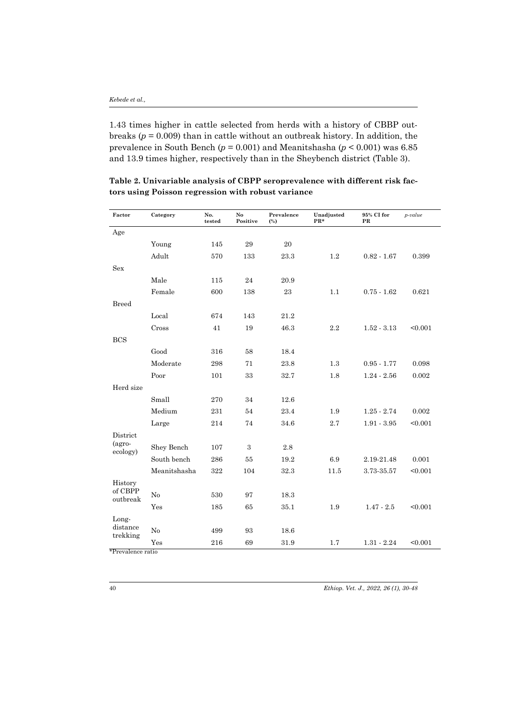1.43 times higher in cattle selected from herds with a history of CBBP outbreaks ( $p = 0.009$ ) than in cattle without an outbreak history. In addition, the prevalence in South Bench (*p* = 0.001) and Meanitshasha (*p* < 0.001) was 6.85 and 13.9 times higher, respectively than in the Sheybench district (Table 3).

| Factor               | Category     | No.<br>tested | No<br>Positive | Prevalence<br>$(\%)$ | Unadjusted<br>$PR*$ | 95% CI for<br>PR | $p-value$ |
|----------------------|--------------|---------------|----------------|----------------------|---------------------|------------------|-----------|
| Age                  |              |               |                |                      |                     |                  |           |
|                      | Young        | 145           | 29             | 20                   |                     |                  |           |
|                      | Adult        | 570           | 133            | 23.3                 | 1.2                 | $0.82 - 1.67$    | 0.399     |
| Sex                  |              |               |                |                      |                     |                  |           |
|                      | Male         | 115           | 24             | 20.9                 |                     |                  |           |
|                      | Female       | 600           | 138            | 23                   | 1.1                 | $0.75 - 1.62$    | 0.621     |
| <b>Breed</b>         |              |               |                |                      |                     |                  |           |
|                      | Local        | 674           | 143            | 21.2                 |                     |                  |           |
|                      | Cross        | 41            | 19             | 46.3                 | 2.2                 | $1.52 - 3.13$    | < 0.001   |
| <b>BCS</b>           |              |               |                |                      |                     |                  |           |
|                      | Good         | 316           | 58             | 18.4                 |                     |                  |           |
|                      | Moderate     | 298           | 71             | 23.8                 | 1.3                 | $0.95 - 1.77$    | 0.098     |
|                      | Poor         | 101           | 33             | 32.7                 | 1.8                 | $1.24 - 2.56$    | 0.002     |
| Herd size            |              |               |                |                      |                     |                  |           |
|                      | Small        | 270           | 34             | 12.6                 |                     |                  |           |
|                      | Medium       | 231           | 54             | 23.4                 | 1.9                 | $1.25 - 2.74$    | 0.002     |
|                      | Large        | 214           | 74             | 34.6                 | 2.7                 | $1.91 - 3.95$    | < 0.001   |
| District             |              |               |                |                      |                     |                  |           |
| (agro-<br>ecology)   | Shey Bench   | 107           | 3              | 2.8                  |                     |                  |           |
|                      | South bench  | 286           | 55             | 19.2                 | 6.9                 | 2.19-21.48       | 0.001     |
|                      | Meanitshasha | 322           | 104            | 32.3                 | 11.5                | 3.73-35.57       | < 0.001   |
| History              |              |               |                |                      |                     |                  |           |
| of CBPP<br>outbreak  | No           | 530           | 97             | 18.3                 |                     |                  |           |
|                      | Yes          | 185           | 65             | 35.1                 | 1.9                 | $1.47 - 2.5$     | < 0.001   |
| Long-                |              |               |                |                      |                     |                  |           |
| distance<br>trekking | No           | 499           | 93             | 18.6                 |                     |                  |           |
|                      | Yes          | 216           | 69             | 31.9                 | 1.7                 | $1.31 - 2.24$    | < 0.001   |

**Table 2. Univariable analysis of CBPP seroprevalence with different risk factors using Poisson regression with robust variance** 

\*Prevalence ratio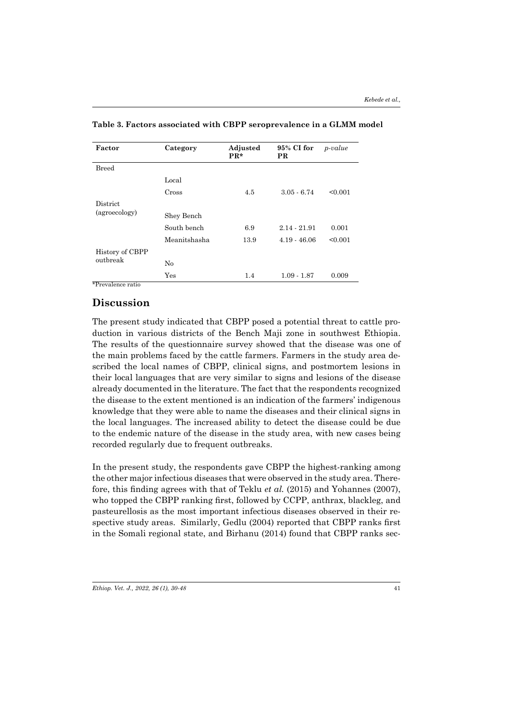| Factor          | Category     | Adjusted<br>$PR*$ | 95% CI for<br><b>PR</b> | <i>p</i> -value |
|-----------------|--------------|-------------------|-------------------------|-----------------|
| <b>Breed</b>    |              |                   |                         |                 |
|                 | Local        |                   |                         |                 |
|                 | Cross        | 4.5               | $3.05 - 6.74$           | < 0.001         |
| District        |              |                   |                         |                 |
| (agroecology)   | Shey Bench   |                   |                         |                 |
|                 | South bench  | 6.9               | 2.14 - 21.91            | 0.001           |
|                 | Meanitshasha | 13.9              | $4.19 - 46.06$          | < 0.001         |
| History of CBPP |              |                   |                         |                 |
| outbreak        | No           |                   |                         |                 |
|                 | Yes          | 1.4               | $1.09 - 1.87$           | 0.009           |

**Table 3. Factors associated with CBPP seroprevalence in a GLMM model**

\*Prevalence ratio

### **Discussion**

The present study indicated that CBPP posed a potential threat to cattle production in various districts of the Bench Maji zone in southwest Ethiopia. The results of the questionnaire survey showed that the disease was one of the main problems faced by the cattle farmers. Farmers in the study area described the local names of CBPP, clinical signs, and postmortem lesions in their local languages that are very similar to signs and lesions of the disease already documented in the literature. The fact that the respondents recognized the disease to the extent mentioned is an indication of the farmers' indigenous knowledge that they were able to name the diseases and their clinical signs in the local languages. The increased ability to detect the disease could be due to the endemic nature of the disease in the study area, with new cases being recorded regularly due to frequent outbreaks.

In the present study, the respondents gave CBPP the highest-ranking among the other major infectious diseases that were observed in the study area. Therefore, this finding agrees with that of Teklu *et al.* (2015) and Yohannes (2007), who topped the CBPP ranking first, followed by CCPP, anthrax, blackleg, and pasteurellosis as the most important infectious diseases observed in their respective study areas. Similarly, Gedlu (2004) reported that CBPP ranks first in the Somali regional state, and Birhanu (2014) found that CBPP ranks sec-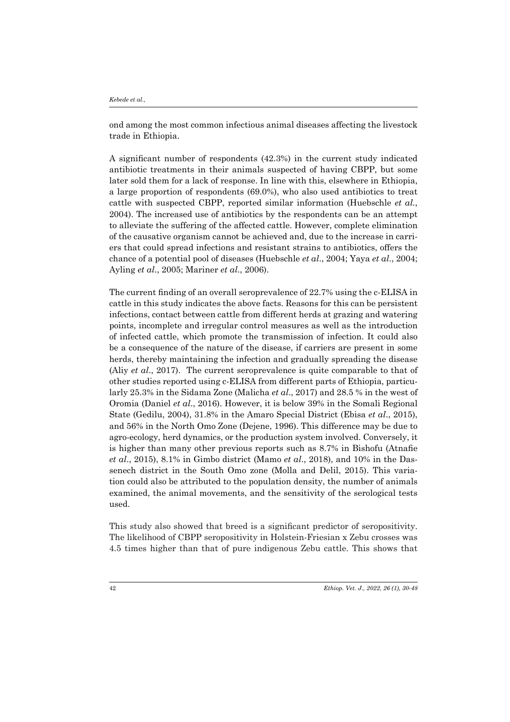ond among the most common infectious animal diseases affecting the livestock trade in Ethiopia.

A significant number of respondents (42.3%) in the current study indicated antibiotic treatments in their animals suspected of having CBPP, but some later sold them for a lack of response. In line with this, elsewhere in Ethiopia, a large proportion of respondents (69.0%), who also used antibiotics to treat cattle with suspected CBPP, reported similar information (Huebschle *et al.*, 2004). The increased use of antibiotics by the respondents can be an attempt to alleviate the suffering of the affected cattle. However, complete elimination of the causative organism cannot be achieved and, due to the increase in carriers that could spread infections and resistant strains to antibiotics, offers the chance of a potential pool of diseases (Huebschle *et al*., 2004; Yaya *et al*., 2004; Ayling *et al*., 2005; Mariner *et al*., 2006).

The current finding of an overall seroprevalence of 22.7% using the c-ELISA in cattle in this study indicates the above facts. Reasons for this can be persistent infections, contact between cattle from different herds at grazing and watering points, incomplete and irregular control measures as well as the introduction of infected cattle, which promote the transmission of infection. It could also be a consequence of the nature of the disease, if carriers are present in some herds, thereby maintaining the infection and gradually spreading the disease (Aliy *et al*., 2017). The current seroprevalence is quite comparable to that of other studies reported using c-ELISA from different parts of Ethiopia, particularly 25.3% in the Sidama Zone (Malicha *et al*., 2017) and 28.5 % in the west of Oromia (Daniel *et al*., 2016). However, it is below 39% in the Somali Regional State (Gedilu, 2004), 31.8% in the Amaro Special District (Ebisa *et al*., 2015), and 56% in the North Omo Zone (Dejene, 1996). This difference may be due to agro-ecology, herd dynamics, or the production system involved. Conversely, it is higher than many other previous reports such as 8.7% in Bishofu (Atnafie *et al*., 2015), 8.1% in Gimbo district (Mamo *et al*., 2018), and 10% in the Dassenech district in the South Omo zone (Molla and Delil, 2015). This variation could also be attributed to the population density, the number of animals examined, the animal movements, and the sensitivity of the serological tests used.

This study also showed that breed is a significant predictor of seropositivity. The likelihood of CBPP seropositivity in Holstein-Friesian x Zebu crosses was 4.5 times higher than that of pure indigenous Zebu cattle. This shows that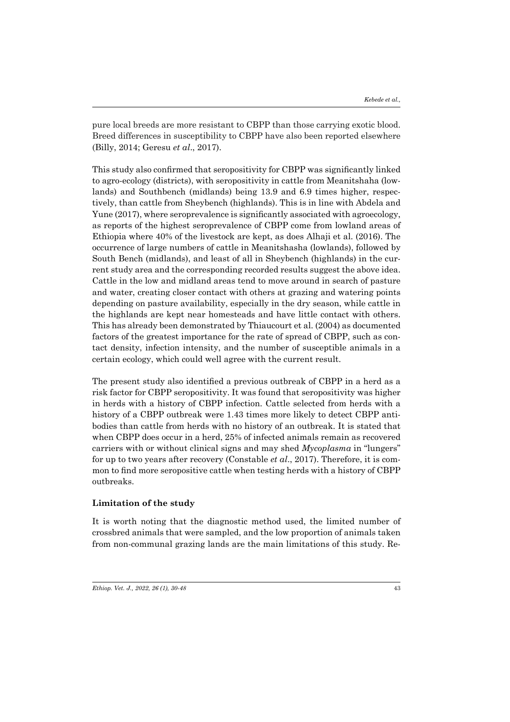pure local breeds are more resistant to CBPP than those carrying exotic blood. Breed differences in susceptibility to CBPP have also been reported elsewhere (Billy, 2014; Geresu *et al*., 2017).

This study also confirmed that seropositivity for CBPP was significantly linked to agro-ecology (districts), with seropositivity in cattle from Meanitshaha (lowlands) and Southbench (midlands) being 13.9 and 6.9 times higher, respectively, than cattle from Sheybench (highlands). This is in line with Abdela and Yune (2017), where seroprevalence is significantly associated with agroecology, as reports of the highest seroprevalence of CBPP come from lowland areas of Ethiopia where 40% of the livestock are kept, as does Alhaji et al. (2016). The occurrence of large numbers of cattle in Meanitshasha (lowlands), followed by South Bench (midlands), and least of all in Sheybench (highlands) in the current study area and the corresponding recorded results suggest the above idea. Cattle in the low and midland areas tend to move around in search of pasture and water, creating closer contact with others at grazing and watering points depending on pasture availability, especially in the dry season, while cattle in the highlands are kept near homesteads and have little contact with others. This has already been demonstrated by Thiaucourt et al. (2004) as documented factors of the greatest importance for the rate of spread of CBPP, such as contact density, infection intensity, and the number of susceptible animals in a certain ecology, which could well agree with the current result.

The present study also identified a previous outbreak of CBPP in a herd as a risk factor for CBPP seropositivity. It was found that seropositivity was higher in herds with a history of CBPP infection. Cattle selected from herds with a history of a CBPP outbreak were 1.43 times more likely to detect CBPP antibodies than cattle from herds with no history of an outbreak. It is stated that when CBPP does occur in a herd, 25% of infected animals remain as recovered carriers with or without clinical signs and may shed *Mycoplasma* in "lungers" for up to two years after recovery (Constable *et al*., 2017). Therefore, it is common to find more seropositive cattle when testing herds with a history of CBPP outbreaks.

### **Limitation of the study**

It is worth noting that the diagnostic method used, the limited number of crossbred animals that were sampled, and the low proportion of animals taken from non-communal grazing lands are the main limitations of this study. Re-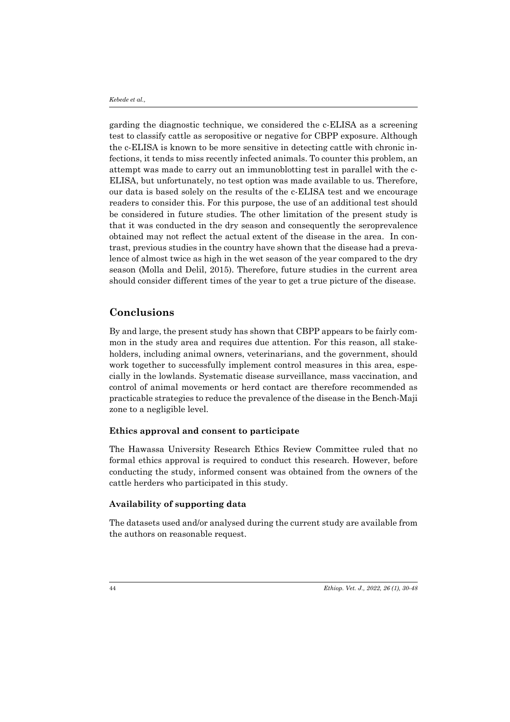garding the diagnostic technique, we considered the c-ELISA as a screening test to classify cattle as seropositive or negative for CBPP exposure. Although the c-ELISA is known to be more sensitive in detecting cattle with chronic infections, it tends to miss recently infected animals. To counter this problem, an attempt was made to carry out an immunoblotting test in parallel with the c-ELISA, but unfortunately, no test option was made available to us. Therefore, our data is based solely on the results of the c-ELISA test and we encourage readers to consider this. For this purpose, the use of an additional test should be considered in future studies. The other limitation of the present study is that it was conducted in the dry season and consequently the seroprevalence obtained may not reflect the actual extent of the disease in the area. In contrast, previous studies in the country have shown that the disease had a prevalence of almost twice as high in the wet season of the year compared to the dry season (Molla and Delil, 2015). Therefore, future studies in the current area should consider different times of the year to get a true picture of the disease.

# **Conclusions**

By and large, the present study has shown that CBPP appears to be fairly common in the study area and requires due attention. For this reason, all stakeholders, including animal owners, veterinarians, and the government, should work together to successfully implement control measures in this area, especially in the lowlands. Systematic disease surveillance, mass vaccination, and control of animal movements or herd contact are therefore recommended as practicable strategies to reduce the prevalence of the disease in the Bench-Maji zone to a negligible level.

#### **Ethics approval and consent to participate**

The Hawassa University Research Ethics Review Committee ruled that no formal ethics approval is required to conduct this research. However, before conducting the study, informed consent was obtained from the owners of the cattle herders who participated in this study.

#### **Availability of supporting data**

The datasets used and/or analysed during the current study are available from the authors on reasonable request.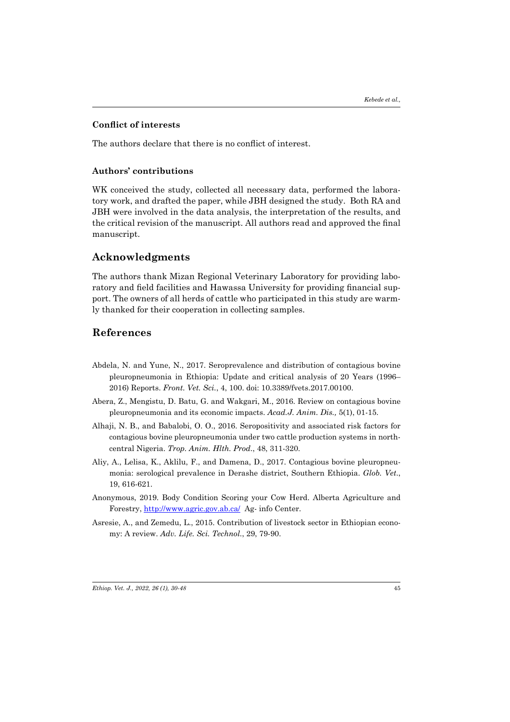#### **Conflict of interests**

The authors declare that there is no conflict of interest.

#### **Authors' contributions**

WK conceived the study, collected all necessary data, performed the laboratory work, and drafted the paper, while JBH designed the study. Both RA and JBH were involved in the data analysis, the interpretation of the results, and the critical revision of the manuscript. All authors read and approved the final manuscript.

# **Acknowledgments**

The authors thank Mizan Regional Veterinary Laboratory for providing laboratory and field facilities and Hawassa University for providing financial support. The owners of all herds of cattle who participated in this study are warmly thanked for their cooperation in collecting samples.

# **References**

- Abdela, N. and Yune, N., 2017. Seroprevalence and distribution of contagious bovine pleuropneumonia in Ethiopia: Update and critical analysis of 20 Years (1996– 2016) Reports. *Front. Vet. Sci.*, 4, 100. doi: 10.3389/fvets.2017.00100.
- Abera, Z., Mengistu, D. Batu, G. and Wakgari, M., 2016. Review on contagious bovine pleuropneumonia and its economic impacts. *Acad.J. Anim. Dis.,* 5(1), 01-15.
- Alhaji, N. B., and Babalobi, O. O., 2016. Seropositivity and associated risk factors for contagious bovine pleuropneumonia under two cattle production systems in northcentral Nigeria. *Trop. Anim. Hlth. Prod*., 48, 311-320.
- Aliy, A., Lelisa, K., Aklilu, F., and Damena, D., 2017. Contagious bovine pleuropneumonia: serological prevalence in Derashe district, Southern Ethiopia. *Glob. Vet*., 19, 616-621.
- Anonymous, 2019. Body Condition Scoring your Cow Herd. Alberta Agriculture and Forestry, http://www.agric.gov.ab.ca/ Ag- info Center.
- Asresie, A., and Zemedu, L., 2015. Contribution of livestock sector in Ethiopian economy: A review. *Adv. Life. Sci. Technol.*, 29, 79-90.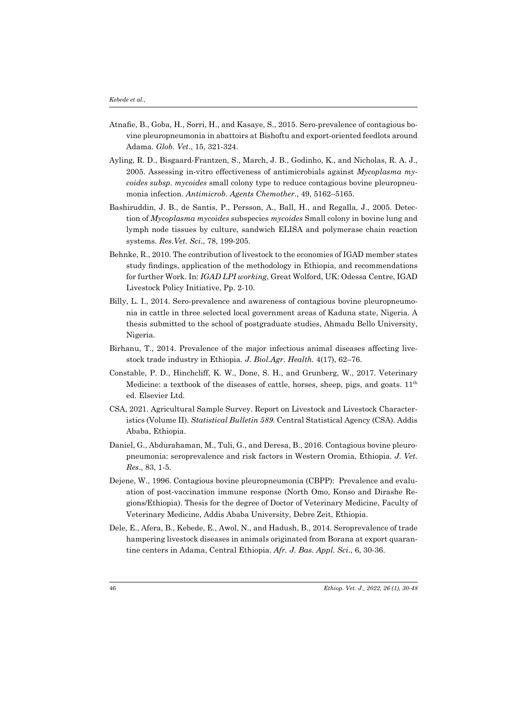- Atnafie, B., Goba, H., Sorri, H., and Kasaye, S., 2015. Sero-prevalence of contagious bovine pleuropneumonia in abattoirs at Bishoftu and export-oriented feedlots around Adama. *Glob. Vet*., 15, 321-324.
- Ayling, R. D., Bisgaard-Frantzen, S., March, J. B., Godinho, K., and Nicholas, R. A. J., 2005. Assessing in-vitro effectiveness of antimicrobials against *Mycoplasma mycoides subsp. mycoides* small colony type to reduce contagious bovine pleuropneumonia infection. *Antimicrob*. *Agents Chemother*., 49, 5162–5165.
- Bashiruddin, J. B., de Santis, P., Persson, A., Ball, H., and Regalla, J., 2005. Detection of *Mycoplasma mycoides* subspecies *mycoides* Small colony in bovine lung and lymph node tissues by culture, sandwich ELISA and polymerase chain reaction systems. *Res.Vet. Sci*., 78, 199-205.
- Behnke, R., 2010. The contribution of livestock to the economies of IGAD member states study findings, application of the methodology in Ethiopia, and recommendations for further Work. In: *IGAD LPI working*, Great Wolford, UK: Odessa Centre, IGAD Livestock Policy Initiative, Pp. 2-10.
- Billy, L. I., 2014. Sero-prevalence and awareness of contagious bovine pleuropneumonia in cattle in three selected local government areas of Kaduna state, Nigeria. A thesis submitted to the school of postgraduate studies, Ahmadu Bello University, Nigeria.
- Birhanu, T., 2014. Prevalence of the major infectious animal diseases affecting livestock trade industry in Ethiopia. *J. Biol.Agr. Health.* 4(17), 62–76.
- Constable, P. D., Hinchcliff, K. W., Done, S. H., and Grunberg, W., 2017. Veterinary Medicine: a textbook of the diseases of cattle, horses, sheep, pigs, and goats.  $11<sup>th</sup>$ ed. Elsevier Ltd.
- CSA, 2021. Agricultural Sample Survey. Report on Livestock and Livestock Characteristics (Volume II). *Statistical Bulletin 589*. Central Statistical Agency (CSA). Addis Ababa, Ethiopia.
- Daniel, G., Abdurahaman, M., Tuli, G., and Deresa, B., 2016. Contagious bovine pleuropneumonia: seroprevalence and risk factors in Western Oromia, Ethiopia. *J. Vet. Res*., 83, 1-5.
- Dejene, W., 1996. Contagious bovine pleuropneumonia (CBPP): Prevalence and evaluation of post-vaccination immune response (North Omo, Konso and Dirashe Regions/Ethiopia). Thesis for the degree of Doctor of Veterinary Medicine, Faculty of Veterinary Medicine, Addis Ababa University, Debre Zeit, Ethiopia.
- Dele, E., Afera, B., Kebede, E., Awol, N., and Hadush, B., 2014. Seroprevalence of trade hampering livestock diseases in animals originated from Borana at export quarantine centers in Adama, Central Ethiopia. *Afr. J. Bas. Appl. Sci*., 6, 30-36.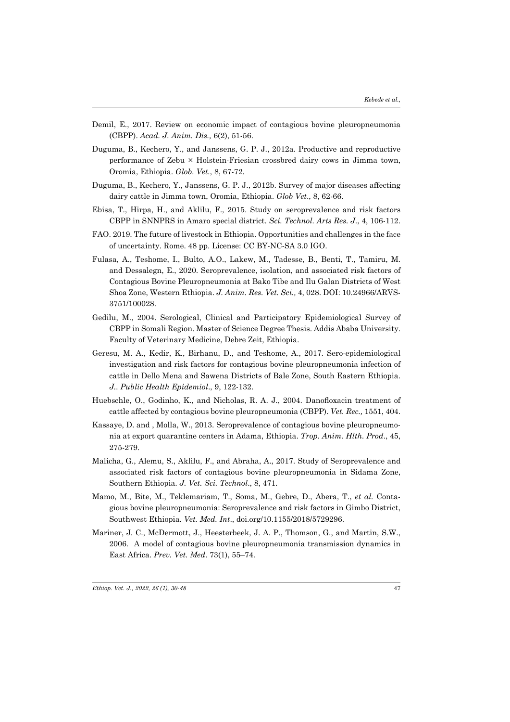- Demil, E., 2017. Review on economic impact of contagious bovine pleuropneumonia (CBPP). *Acad. J. Anim. Dis.,* 6(2), 51-56.
- Duguma, B., Kechero, Y., and Janssens, G. P. J., 2012a. Productive and reproductive performance of Zebu × Holstein-Friesian crossbred dairy cows in Jimma town, Oromia, Ethiopia. *Glob. Vet.*, 8, 67-72.
- Duguma, B., Kechero, Y., Janssens, G. P. J., 2012b. Survey of major diseases affecting dairy cattle in Jimma town, Oromia, Ethiopia. *Glob Vet*., 8, 62-66.
- Ebisa, T., Hirpa, H., and Aklilu, F., 2015. Study on seroprevalence and risk factors CBPP in SNNPRS in Amaro special district. *Sci. Technol. Arts Res. J*., 4, 106-112.
- FAO. 2019. The future of livestock in Ethiopia. Opportunities and challenges in the face of uncertainty. Rome. 48 pp. License: CC BY-NC-SA 3.0 IGO.
- Fulasa, A., Teshome, I., Bulto, A.O., Lakew, M., Tadesse, B., Benti, T., Tamiru, M. and Dessalegn, E., 2020. Seroprevalence, isolation, and associated risk factors of Contagious Bovine Pleuropneumonia at Bako Tibe and Ilu Galan Districts of West Shoa Zone, Western Ethiopia. *J. Anim. Res. Vet. Sci.,* 4, 028. DOI: 10.24966/ARVS-3751/100028.
- Gedilu, M., 2004. Serological, Clinical and Participatory Epidemiological Survey of CBPP in Somali Region. Master of Science Degree Thesis. Addis Ababa University. Faculty of Veterinary Medicine, Debre Zeit, Ethiopia.
- Geresu, M. A., Kedir, K., Birhanu, D., and Teshome, A., 2017. Sero-epidemiological investigation and risk factors for contagious bovine pleuropneumonia infection of cattle in Dello Mena and Sawena Districts of Bale Zone, South Eastern Ethiopia. *J.. Public Health Epidemiol*., 9, 122-132.
- Huebschle, O., Godinho, K., and Nicholas, R. A. J., 2004. Danofloxacin treatment of cattle affected by contagious bovine pleuropneumonia (CBPP). *Vet. Rec.,* 1551, 404.
- Kassaye, D. and , Molla, W., 2013. Seroprevalence of contagious bovine pleuropneumonia at export quarantine centers in Adama, Ethiopia. *Trop. Anim. Hlth. Prod*., 45, 275-279.
- Malicha, G., Alemu, S., Aklilu, F., and Abraha, A., 2017. Study of Seroprevalence and associated risk factors of contagious bovine pleuropneumonia in Sidama Zone, Southern Ethiopia. *J. Vet. Sci. Technol*., 8, 471.
- Mamo, M., Bite, M., Teklemariam, T., Soma, M., Gebre, D., Abera, T., *et al.* Contagious bovine pleuropneumonia: Seroprevalence and risk factors in Gimbo District, Southwest Ethiopia. *Vet. Med. Int*., doi.org/10.1155/2018/5729296.
- Mariner, J. C., McDermott, J., Heesterbeek, J. A. P., Thomson, G., and Martin, S.W., 2006. A model of contagious bovine pleuropneumonia transmission dynamics in East Africa. *Prev. Vet. Med*. 73(1), 55–74.

*Ethiop. Vet. J., 2022, 26 (1), 30-48*